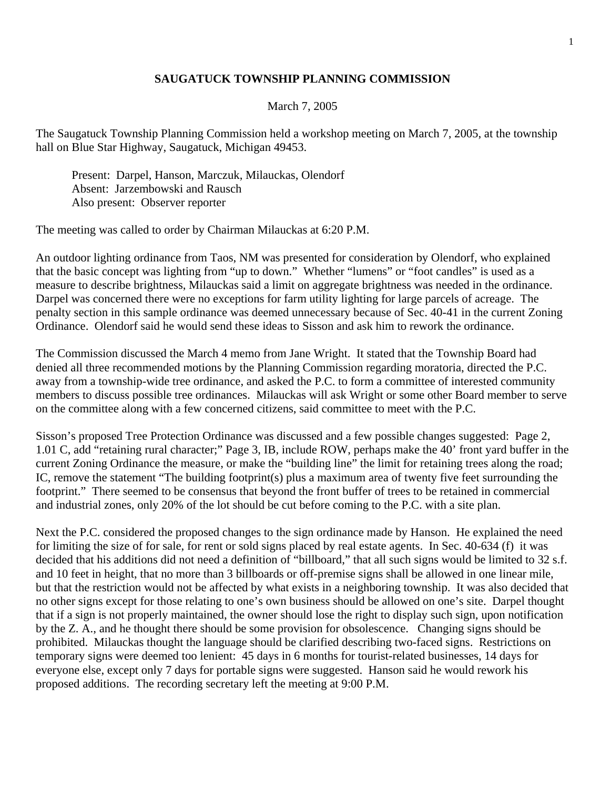## **SAUGATUCK TOWNSHIP PLANNING COMMISSION**

## March 7, 2005

The Saugatuck Township Planning Commission held a workshop meeting on March 7, 2005, at the township hall on Blue Star Highway, Saugatuck, Michigan 49453.

 Present: Darpel, Hanson, Marczuk, Milauckas, Olendorf Absent: Jarzembowski and Rausch Also present: Observer reporter

The meeting was called to order by Chairman Milauckas at 6:20 P.M.

An outdoor lighting ordinance from Taos, NM was presented for consideration by Olendorf, who explained that the basic concept was lighting from "up to down." Whether "lumens" or "foot candles" is used as a measure to describe brightness, Milauckas said a limit on aggregate brightness was needed in the ordinance. Darpel was concerned there were no exceptions for farm utility lighting for large parcels of acreage. The penalty section in this sample ordinance was deemed unnecessary because of Sec. 40-41 in the current Zoning Ordinance. Olendorf said he would send these ideas to Sisson and ask him to rework the ordinance.

The Commission discussed the March 4 memo from Jane Wright. It stated that the Township Board had denied all three recommended motions by the Planning Commission regarding moratoria, directed the P.C. away from a township-wide tree ordinance, and asked the P.C. to form a committee of interested community members to discuss possible tree ordinances. Milauckas will ask Wright or some other Board member to serve on the committee along with a few concerned citizens, said committee to meet with the P.C.

Sisson's proposed Tree Protection Ordinance was discussed and a few possible changes suggested: Page 2, 1.01 C, add "retaining rural character;" Page 3, IB, include ROW, perhaps make the 40' front yard buffer in the current Zoning Ordinance the measure, or make the "building line" the limit for retaining trees along the road; IC, remove the statement "The building footprint(s) plus a maximum area of twenty five feet surrounding the footprint." There seemed to be consensus that beyond the front buffer of trees to be retained in commercial and industrial zones, only 20% of the lot should be cut before coming to the P.C. with a site plan.

Next the P.C. considered the proposed changes to the sign ordinance made by Hanson. He explained the need for limiting the size of for sale, for rent or sold signs placed by real estate agents. In Sec. 40-634 (f) it was decided that his additions did not need a definition of "billboard," that all such signs would be limited to 32 s.f. and 10 feet in height, that no more than 3 billboards or off-premise signs shall be allowed in one linear mile, but that the restriction would not be affected by what exists in a neighboring township. It was also decided that no other signs except for those relating to one's own business should be allowed on one's site. Darpel thought that if a sign is not properly maintained, the owner should lose the right to display such sign, upon notification by the Z. A., and he thought there should be some provision for obsolescence. Changing signs should be prohibited. Milauckas thought the language should be clarified describing two-faced signs. Restrictions on temporary signs were deemed too lenient: 45 days in 6 months for tourist-related businesses, 14 days for everyone else, except only 7 days for portable signs were suggested. Hanson said he would rework his proposed additions. The recording secretary left the meeting at 9:00 P.M.